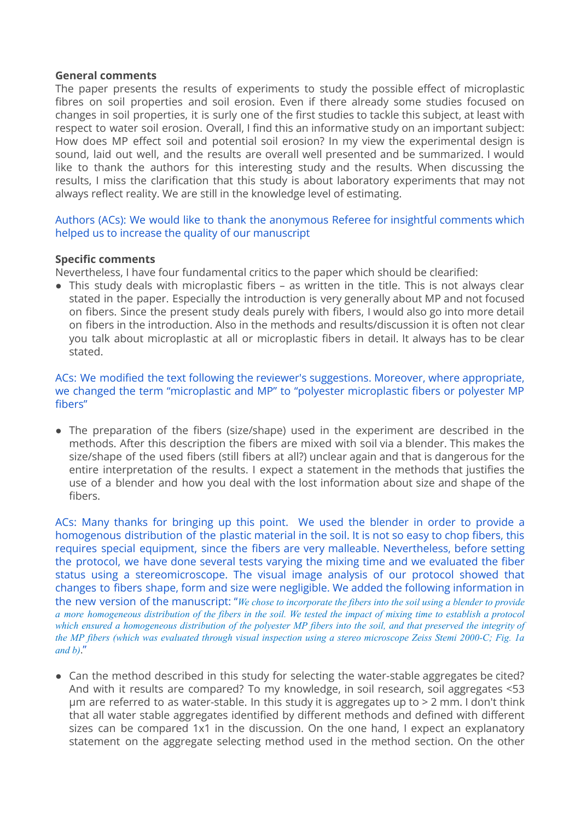### **General comments**

The paper presents the results of experiments to study the possible effect of microplastic fibres on soil properties and soil erosion. Even if there already some studies focused on changes in soil properties, it is surly one of the first studies to tackle this subject, at least with respect to water soil erosion. Overall, I find this an informative study on an important subject: How does MP effect soil and potential soil erosion? In my view the experimental design is sound, laid out well, and the results are overall well presented and be summarized. I would like to thank the authors for this interesting study and the results. When discussing the results, I miss the clarification that this study is about laboratory experiments that may not always reflect reality. We are still in the knowledge level of estimating.

Authors (ACs): We would like to thank the anonymous Referee for insightful comments which helped us to increase the quality of our manuscript

### **Specific comments**

Nevertheless, I have four fundamental critics to the paper which should be clearified:

• This study deals with microplastic fibers – as written in the title. This is not always clear stated in the paper. Especially the introduction is very generally about MP and not focused on fibers. Since the present study deals purely with fibers, I would also go into more detail on fibers in the introduction. Also in the methods and results/discussion it is often not clear you talk about microplastic at all or microplastic fibers in detail. It always has to be clear stated.

ACs: We modified the text following the reviewer's suggestions. Moreover, where appropriate, we changed the term "microplastic and MP" to "polyester microplastic fibers or polyester MP fibers"

● The preparation of the fibers (size/shape) used in the experiment are described in the methods. After this description the fibers are mixed with soil via a blender. This makes the size/shape of the used fibers (still fibers at all?) unclear again and that is dangerous for the entire interpretation of the results. I expect a statement in the methods that justifies the use of a blender and how you deal with the lost information about size and shape of the fibers.

ACs: Many thanks for bringing up this point. We used the blender in order to provide a homogenous distribution of the plastic material in the soil. It is not so easy to chop fibers, this requires special equipment, since the fibers are very malleable. Nevertheless, before setting the protocol, we have done several tests varying the mixing time and we evaluated the fiber status using a stereomicroscope. The visual image analysis of our protocol showed that changes to fibers shape, form and size were negligible. We added the following information in the new version of the manuscript: "*We chose to incorporate the fibers into the soil using a blender to provide* a more homogeneous distribution of the fibers in the soil. We tested the impact of mixing time to establish a protocol which ensured a homogeneous distribution of the polyester MP fibers into the soil, and that preserved the integrity of the MP fibers (which was evaluated through visual inspection using a stereo microscope Zeiss Stemi 2000-C; Fig. 1a *and b)*."

• Can the method described in this study for selecting the water-stable aggregates be cited? And with it results are compared? To my knowledge, in soil research, soil aggregates <53  $µm$  are referred to as water-stable. In this study it is aggregates up to  $> 2$  mm. I don't think that all water stable aggregates identified by different methods and defined with different sizes can be compared 1x1 in the discussion. On the one hand, I expect an explanatory statement on the aggregate selecting method used in the method section. On the other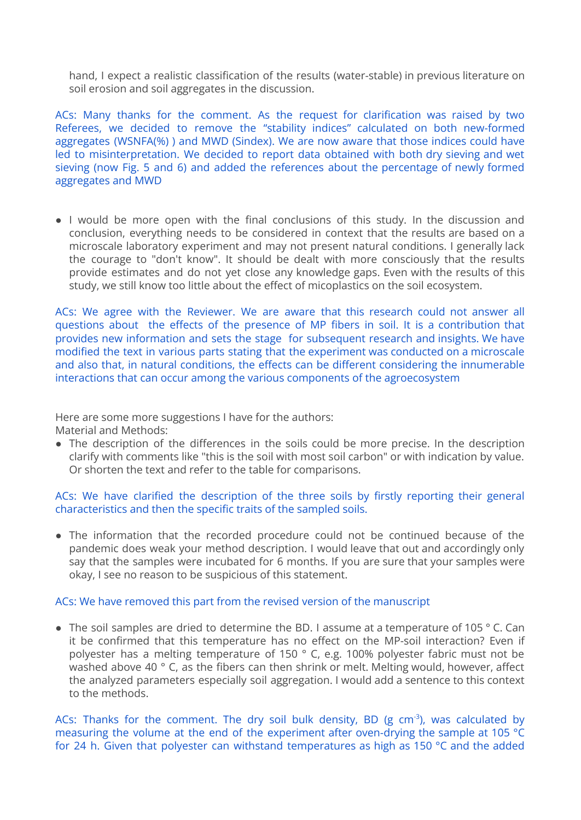hand, I expect a realistic classification of the results (water-stable) in previous literature on soil erosion and soil aggregates in the discussion.

ACs: Many thanks for the comment. As the request for clarification was raised by two Referees, we decided to remove the "stability indices" calculated on both new-formed aggregates (WSNFA(%) ) and MWD (Sindex). We are now aware that those indices could have led to misinterpretation. We decided to report data obtained with both dry sieving and wet sieving (now Fig. 5 and 6) and added the references about the percentage of newly formed aggregates and MWD

• I would be more open with the final conclusions of this study. In the discussion and conclusion, everything needs to be considered in context that the results are based on a microscale laboratory experiment and may not present natural conditions. I generally lack the courage to "don't know". It should be dealt with more consciously that the results provide estimates and do not yet close any knowledge gaps. Even with the results of this study, we still know too little about the effect of micoplastics on the soil ecosystem.

ACs: We agree with the Reviewer. We are aware that this research could not answer all questions about the effects of the presence of MP fibers in soil. It is a contribution that provides new information and sets the stage for subsequent research and insights. We have modified the text in various parts stating that the experiment was conducted on a microscale and also that, in natural conditions, the effects can be different considering the innumerable interactions that can occur among the various components of the agroecosystem

Here are some more suggestions I have for the authors:

Material and Methods:

• The description of the differences in the soils could be more precise. In the description clarify with comments like "this is the soil with most soil carbon" or with indication by value. Or shorten the text and refer to the table for comparisons.

# ACs: We have clarified the description of the three soils by firstly reporting their general characteristics and then the specific traits of the sampled soils.

• The information that the recorded procedure could not be continued because of the pandemic does weak your method description. I would leave that out and accordingly only say that the samples were incubated for 6 months. If you are sure that your samples were okay, I see no reason to be suspicious of this statement.

# ACs: We have removed this part from the revised version of the manuscript

● The soil samples are dried to determine the BD. I assume at a temperature of 105 ° C. Can it be confirmed that this temperature has no effect on the MP-soil interaction? Even if polyester has a melting temperature of 150 ° C, e.g. 100% polyester fabric must not be washed above 40 ° C, as the fibers can then shrink or melt. Melting would, however, affect the analyzed parameters especially soil aggregation. I would add a sentence to this context to the methods.

ACs: Thanks for the comment. The dry soil bulk density, BD ( $g \text{ cm}^{-3}$ ), was calculated by measuring the volume at the end of the experiment after oven-drying the sample at 105 °C for 24 h. Given that polyester can withstand temperatures as high as 150 °C and the added